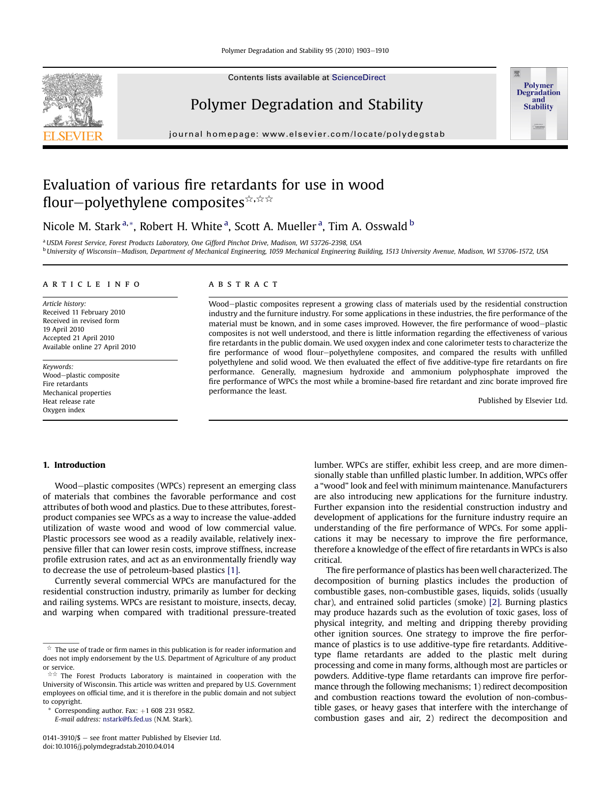Contents lists available at [ScienceDirect](www.sciencedirect.com/science/journal/01413910)

# Polymer Degradation and Stability

journal homepage: [www.elsevier.com/locate/polydegstab](http://www.elsevier.com/locate/polydegstab)

# Evaluation of various fire retardants for use in wood flour-polyethylene composites \*\*\*\*

Nicole M. Stark <sup>a, \*</sup>, Robert H. White <sup>a</sup>, Scott A. Mueller <sup>a</sup>, Tim A. Osswald <sup>b</sup>

a USDA Forest Service, Forest Products Laboratory, One Gifford Pinchot Drive, Madison, WI 53726-2398, USA <sup>b</sup> University of Wisconsin-Madison, Department of Mechanical Engineering, 1059 Mechanical Engineering Building, 1513 University Avenue, Madison, WI 53706-1572, USA

#### article info

Article history: Received 11 February 2010 Received in revised form 19 April 2010 Accepted 21 April 2010 Available online 27 April 2010

Keywords: Wood-plastic composite Fire retardants Mechanical properties Heat release rate Oxygen index

## ABSTRACT

Wood-plastic composites represent a growing class of materials used by the residential construction industry and the furniture industry. For some applications in these industries, the fire performance of the material must be known, and in some cases improved. However, the fire performance of wood-plastic composites is not well understood, and there is little information regarding the effectiveness of various fire retardants in the public domain. We used oxygen index and cone calorimeter tests to characterize the fire performance of wood flour-polyethylene composites, and compared the results with unfilled polyethylene and solid wood. We then evaluated the effect of five additive-type fire retardants on fire performance. Generally, magnesium hydroxide and ammonium polyphosphate improved the fire performance of WPCs the most while a bromine-based fire retardant and zinc borate improved fire performance the least.

Published by Elsevier Ltd.

**Polymer Degradation** and **Stability** 

# 1. Introduction

Wood-plastic composites (WPCs) represent an emerging class of materials that combines the favorable performance and cost attributes of both wood and plastics. Due to these attributes, forestproduct companies see WPCs as a way to increase the value-added utilization of waste wood and wood of low commercial value. Plastic processors see wood as a readily available, relatively inexpensive filler that can lower resin costs, improve stiffness, increase profile extrusion rates, and act as an environmentally friendly way to decrease the use of petroleum-based plastics [\[1\]](#page-7-0).

Currently several commercial WPCs are manufactured for the residential construction industry, primarily as lumber for decking and railing systems. WPCs are resistant to moisture, insects, decay, and warping when compared with traditional pressure-treated

Corresponding author. Fax:  $+1$  608 231 9582.

E-mail address: [nstark@fs.fed.us](mailto:nstark@fs.fed.us) (N.M. Stark).

0141-3910/ $\delta$  – see front matter Published by Elsevier Ltd. doi:10.1016/j.polymdegradstab.2010.04.014

lumber. WPCs are stiffer, exhibit less creep, and are more dimensionally stable than unfilled plastic lumber. In addition, WPCs offer a "wood" look and feel with minimum maintenance. Manufacturers are also introducing new applications for the furniture industry. Further expansion into the residential construction industry and development of applications for the furniture industry require an understanding of the fire performance of WPCs. For some applications it may be necessary to improve the fire performance, therefore a knowledge of the effect of fire retardants in WPCs is also critical.

The fire performance of plastics has been well characterized. The decomposition of burning plastics includes the production of combustible gases, non-combustible gases, liquids, solids (usually char), and entrained solid particles (smoke) [\[2\].](#page-7-0) Burning plastics may produce hazards such as the evolution of toxic gases, loss of physical integrity, and melting and dripping thereby providing other ignition sources. One strategy to improve the fire performance of plastics is to use additive-type fire retardants. Additivetype flame retardants are added to the plastic melt during processing and come in many forms, although most are particles or powders. Additive-type flame retardants can improve fire performance through the following mechanisms; 1) redirect decomposition and combustion reactions toward the evolution of non-combustible gases, or heavy gases that interfere with the interchange of combustion gases and air, 2) redirect the decomposition and



 $\overrightarrow{a}$  The use of trade or firm names in this publication is for reader information and does not imply endorsement by the U.S. Department of Agriculture of any product or service.

 $\dot{\pi}$ <sup> $\dot{\pi}$ </sup> The Forest Products Laboratory is maintained in cooperation with the University of Wisconsin. This article was written and prepared by U.S. Government employees on official time, and it is therefore in the public domain and not subject to copyright.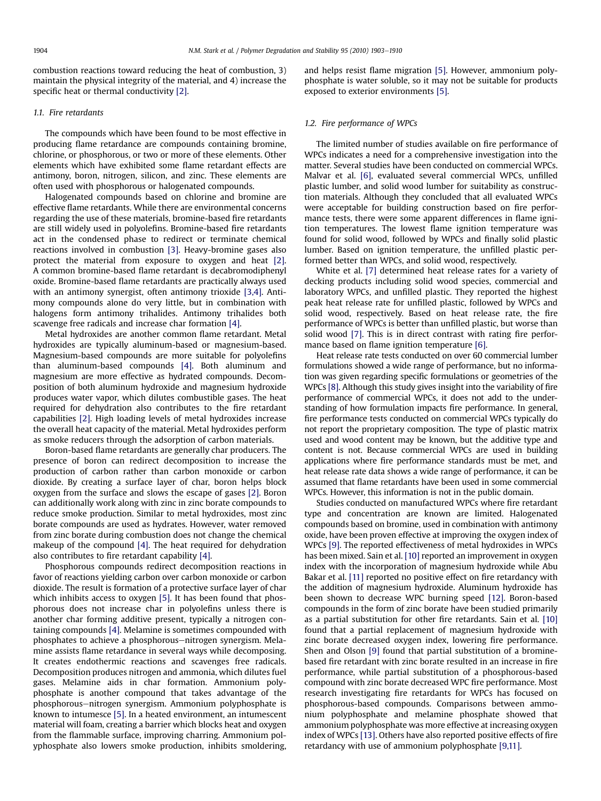combustion reactions toward reducing the heat of combustion, 3) maintain the physical integrity of the material, and 4) increase the specific heat or thermal conductivity [\[2\]](#page-7-0).

# 1.1. Fire retardants

The compounds which have been found to be most effective in producing flame retardance are compounds containing bromine, chlorine, or phosphorous, or two or more of these elements. Other elements which have exhibited some flame retardant effects are antimony, boron, nitrogen, silicon, and zinc. These elements are often used with phosphorous or halogenated compounds.

Halogenated compounds based on chlorine and bromine are effective flame retardants. While there are environmental concerns regarding the use of these materials, bromine-based fire retardants are still widely used in polyolefins. Bromine-based fire retardants act in the condensed phase to redirect or terminate chemical reactions involved in combustion [\[3\].](#page-7-0) Heavy-bromine gases also protect the material from exposure to oxygen and heat [\[2\]](#page-7-0). A common bromine-based flame retardant is decabromodiphenyl oxide. Bromine-based flame retardants are practically always used with an antimony synergist, often antimony trioxide [\[3,4\]](#page-7-0). Antimony compounds alone do very little, but in combination with halogens form antimony trihalides. Antimony trihalides both scavenge free radicals and increase char formation [\[4\].](#page-7-0)

Metal hydroxides are another common flame retardant. Metal hydroxides are typically aluminum-based or magnesium-based. Magnesium-based compounds are more suitable for polyolefins than aluminum-based compounds [\[4\]](#page-7-0). Both aluminum and magnesium are more effective as hydrated compounds. Decomposition of both aluminum hydroxide and magnesium hydroxide produces water vapor, which dilutes combustible gases. The heat required for dehydration also contributes to the fire retardant capabilities [\[2\]](#page-7-0). High loading levels of metal hydroxides increase the overall heat capacity of the material. Metal hydroxides perform as smoke reducers through the adsorption of carbon materials.

Boron-based flame retardants are generally char producers. The presence of boron can redirect decomposition to increase the production of carbon rather than carbon monoxide or carbon dioxide. By creating a surface layer of char, boron helps block oxygen from the surface and slows the escape of gases [\[2\].](#page-7-0) Boron can additionally work along with zinc in zinc borate compounds to reduce smoke production. Similar to metal hydroxides, most zinc borate compounds are used as hydrates. However, water removed from zinc borate during combustion does not change the chemical makeup of the compound [\[4\].](#page-7-0) The heat required for dehydration also contributes to fire retardant capability [\[4\]](#page-7-0).

Phosphorous compounds redirect decomposition reactions in favor of reactions yielding carbon over carbon monoxide or carbon dioxide. The result is formation of a protective surface layer of char which inhibits access to oxygen [\[5\]](#page-7-0). It has been found that phosphorous does not increase char in polyolefins unless there is another char forming additive present, typically a nitrogen containing compounds [\[4\].](#page-7-0) Melamine is sometimes compounded with phosphates to achieve a phosphorous-nitrogen synergism. Melamine assists flame retardance in several ways while decomposing. It creates endothermic reactions and scavenges free radicals. Decomposition produces nitrogen and ammonia, which dilutes fuel gases. Melamine aids in char formation. Ammonium polyphosphate is another compound that takes advantage of the phosphorous-nitrogen synergism. Ammonium polyphosphate is known to intumesce [\[5\]](#page-7-0). In a heated environment, an intumescent material will foam, creating a barrier which blocks heat and oxygen from the flammable surface, improving charring. Ammonium polyphosphate also lowers smoke production, inhibits smoldering, and helps resist flame migration [\[5\].](#page-7-0) However, ammonium polyphosphate is water soluble, so it may not be suitable for products exposed to exterior environments [\[5\]](#page-7-0).

## 1.2. Fire performance of WPCs

The limited number of studies available on fire performance of WPCs indicates a need for a comprehensive investigation into the matter. Several studies have been conducted on commercial WPCs. Malvar et al. [\[6\],](#page-7-0) evaluated several commercial WPCs, unfilled plastic lumber, and solid wood lumber for suitability as construction materials. Although they concluded that all evaluated WPCs were acceptable for building construction based on fire performance tests, there were some apparent differences in flame ignition temperatures. The lowest flame ignition temperature was found for solid wood, followed by WPCs and finally solid plastic lumber. Based on ignition temperature, the unfilled plastic performed better than WPCs, and solid wood, respectively.

White et al. [\[7\]](#page-7-0) determined heat release rates for a variety of decking products including solid wood species, commercial and laboratory WPCs, and unfilled plastic. They reported the highest peak heat release rate for unfilled plastic, followed by WPCs and solid wood, respectively. Based on heat release rate, the fire performance of WPCs is better than unfilled plastic, but worse than solid wood [\[7\].](#page-7-0) This is in direct contrast with rating fire performance based on flame ignition temperature [\[6\]](#page-7-0).

Heat release rate tests conducted on over 60 commercial lumber formulations showed a wide range of performance, but no information was given regarding specific formulations or geometries of the WPCs [\[8\].](#page-7-0) Although this study gives insight into the variability of fire performance of commercial WPCs, it does not add to the understanding of how formulation impacts fire performance. In general, fire performance tests conducted on commercial WPCs typically do not report the proprietary composition. The type of plastic matrix used and wood content may be known, but the additive type and content is not. Because commercial WPCs are used in building applications where fire performance standards must be met, and heat release rate data shows a wide range of performance, it can be assumed that flame retardants have been used in some commercial WPCs. However, this information is not in the public domain.

Studies conducted on manufactured WPCs where fire retardant type and concentration are known are limited. Halogenated compounds based on bromine, used in combination with antimony oxide, have been proven effective at improving the oxygen index of WPCs [\[9\].](#page-7-0) The reported effectiveness of metal hydroxides in WPCs has been mixed. Sain et al. [\[10\]](#page-7-0) reported an improvement in oxygen index with the incorporation of magnesium hydroxide while Abu Bakar et al. [\[11\]](#page-7-0) reported no positive effect on fire retardancy with the addition of magnesium hydroxide. Aluminum hydroxide has been shown to decrease WPC burning speed [\[12\]](#page-7-0). Boron-based compounds in the form of zinc borate have been studied primarily as a partial substitution for other fire retardants. Sain et al. [\[10\]](#page-7-0) found that a partial replacement of magnesium hydroxide with zinc borate decreased oxygen index, lowering fire performance. Shen and Olson [\[9\]](#page-7-0) found that partial substitution of a brominebased fire retardant with zinc borate resulted in an increase in fire performance, while partial substitution of a phosphorous-based compound with zinc borate decreased WPC fire performance. Most research investigating fire retardants for WPCs has focused on phosphorous-based compounds. Comparisons between ammonium polyphosphate and melamine phosphate showed that ammonium polyphosphate was more effective at increasing oxygen index of WPCs [\[13\].](#page-7-0) Others have also reported positive effects of fire retardancy with use of ammonium polyphosphate [\[9,11\]](#page-7-0).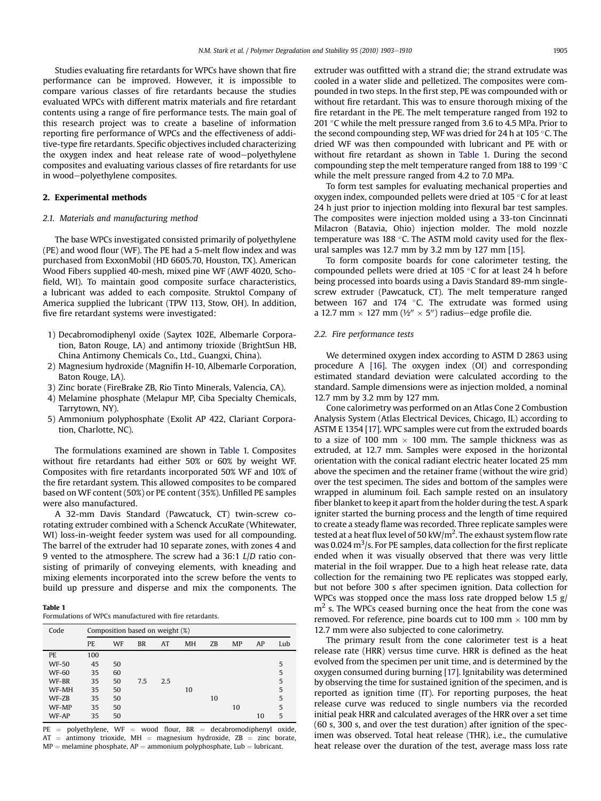Studies evaluating fire retardants for WPCs have shown that fire performance can be improved. However, it is impossible to compare various classes of fire retardants because the studies evaluated WPCs with different matrix materials and fire retardant contents using a range of fire performance tests. The main goal of this research project was to create a baseline of information reporting fire performance of WPCs and the effectiveness of additive-type fire retardants. Specific objectives included characterizing the oxygen index and heat release rate of wood-polyethylene composites and evaluating various classes of fire retardants for use in wood-polyethylene composites.

## 2. Experimental methods

#### 2.1. Materials and manufacturing method

The base WPCs investigated consisted primarily of polyethylene (PE) and wood flour (WF). The PE had a 5-melt flow index and was purchased from ExxonMobil (HD 6605.70, Houston, TX). American Wood Fibers supplied 40-mesh, mixed pine WF (AWF 4020, Schofield, WI). To maintain good composite surface characteristics, a lubricant was added to each composite. Struktol Company of America supplied the lubricant (TPW 113, Stow, OH). In addition, five fire retardant systems were investigated:

- 1) Decabromodiphenyl oxide (Saytex 102E, Albemarle Corporation, Baton Rouge, LA) and antimony trioxide (BrightSun HB, China Antimony Chemicals Co., Ltd., Guangxi, China).
- 2) Magnesium hydroxide (Magnifin H-10, Albemarle Corporation, Baton Rouge, LA).
- 3) Zinc borate (FireBrake ZB, Rio Tinto Minerals, Valencia, CA).
- 4) Melamine phosphate (Melapur MP, Ciba Specialty Chemicals, Tarrytown, NY).
- 5) Ammonium polyphosphate (Exolit AP 422, Clariant Corporation, Charlotte, NC).

The formulations examined are shown in Table 1. Composites without fire retardants had either 50% or 60% by weight WF. Composites with fire retardants incorporated 50% WF and 10% of the fire retardant system. This allowed composites to be compared based on WF content (50%) or PE content (35%). Unfilled PE samples were also manufactured.

A 32-mm Davis Standard (Pawcatuck, CT) twin-screw corotating extruder combined with a Schenck AccuRate (Whitewater, WI) loss-in-weight feeder system was used for all compounding. The barrel of the extruder had 10 separate zones, with zones 4 and 9 vented to the atmosphere. The screw had a 36:1 L/D ratio consisting of primarily of conveying elements, with kneading and mixing elements incorporated into the screw before the vents to build up pressure and disperse and mix the components. The

Table 1

| Formulations of WPCs manufactured with fire retardants. |
|---------------------------------------------------------|
|                                                         |

| Code         | Composition based on weight (%) |           |           |     |           |    |           |    |     |
|--------------|---------------------------------|-----------|-----------|-----|-----------|----|-----------|----|-----|
|              | PE.                             | <b>WF</b> | <b>BR</b> | AT  | <b>MH</b> | ZB | <b>MP</b> | AP | Lub |
| PE.          | 100                             |           |           |     |           |    |           |    |     |
| <b>WF-50</b> | 45                              | 50        |           |     |           |    |           |    | 5   |
| <b>WF-60</b> | 35                              | 60        |           |     |           |    |           |    | 5   |
| WF-BR        | 35                              | 50        | 7.5       | 2.5 |           |    |           |    | 5   |
| WF-MH        | 35                              | 50        |           |     | 10        |    |           |    | 5   |
| WF-ZB        | 35                              | 50        |           |     |           | 10 |           |    | 5   |
| WF-MP        | 35                              | 50        |           |     |           |    | 10        |    | 5   |
| WF-AP        | 35                              | 50        |           |     |           |    |           | 10 | 5   |

 $PE = polyethylene$ ,  $WF = wood$  flour,  $BR = decabromodiphenyl$  oxide,  $AT =$  antimony trioxide,  $MH =$  magnesium hydroxide,  $ZB =$  zinc borate,  $MP =$  melamine phosphate,  $AP =$  ammonium polyphosphate, Lub = lubricant.

extruder was outfitted with a strand die; the strand extrudate was cooled in a water slide and pelletized. The composites were compounded in two steps. In the first step, PE was compounded with or without fire retardant. This was to ensure thorough mixing of the fire retardant in the PE. The melt temperature ranged from 192 to 201 °C while the melt pressure ranged from 3.6 to 4.5 MPa. Prior to the second compounding step, WF was dried for 24 h at 105  $^\circ$ C. The dried WF was then compounded with lubricant and PE with or without fire retardant as shown in Table 1. During the second compounding step the melt temperature ranged from 188 to 199  $^{\circ}$ C while the melt pressure ranged from 4.2 to 7.0 MPa.

To form test samples for evaluating mechanical properties and oxygen index, compounded pellets were dried at 105  $^{\circ}$ C for at least 24 h just prior to injection molding into flexural bar test samples. The composites were injection molded using a 33-ton Cincinnati Milacron (Batavia, Ohio) injection molder. The mold nozzle temperature was 188 °C. The ASTM mold cavity used for the flexural samples was 12.7 mm by 3.2 mm by 127 mm [\[15\].](#page-7-0)

To form composite boards for cone calorimeter testing, the compounded pellets were dried at 105  $\degree$ C for at least 24 h before being processed into boards using a Davis Standard 89-mm singlescrew extruder (Pawcatuck, CT). The melt temperature ranged between 167 and 174  $\degree$ C. The extrudate was formed using a 12.7 mm  $\times$  127 mm ( $\frac{1}{2}$ "  $\times$  5") radius-edge profile die.

## 2.2. Fire performance tests

We determined oxygen index according to ASTM D 2863 using procedure A [\[16\].](#page-7-0) The oxygen index (OI) and corresponding estimated standard deviation were calculated according to the standard. Sample dimensions were as injection molded, a nominal 12.7 mm by 3.2 mm by 127 mm.

Cone calorimetry was performed on an Atlas Cone 2 Combustion Analysis System (Atlas Electrical Devices, Chicago, IL) according to ASTM E 1354 [\[17\]](#page-7-0). WPC samples were cut from the extruded boards to a size of 100 mm  $\times$  100 mm. The sample thickness was as extruded, at 12.7 mm. Samples were exposed in the horizontal orientation with the conical radiant electric heater located 25 mm above the specimen and the retainer frame (without the wire grid) over the test specimen. The sides and bottom of the samples were wrapped in aluminum foil. Each sample rested on an insulatory fiber blanket to keep it apart from the holder during the test. A spark igniter started the burning process and the length of time required to create a steady flame was recorded. Three replicate samples were tested at a heat flux level of 50 kW/m<sup>2</sup>. The exhaust system flow rate was 0.024  $\mathrm{m}^3$ /s. For PE samples, data collection for the first replicate ended when it was visually observed that there was very little material in the foil wrapper. Due to a high heat release rate, data collection for the remaining two PE replicates was stopped early, but not before 300 s after specimen ignition. Data collection for WPCs was stopped once the mass loss rate dropped below 1.5 g/  $m<sup>2</sup>$  s. The WPCs ceased burning once the heat from the cone was removed. For reference, pine boards cut to 100 mm  $\times$  100 mm by 12.7 mm were also subjected to cone calorimetry.

The primary result from the cone calorimeter test is a heat release rate (HRR) versus time curve. HRR is defined as the heat evolved from the specimen per unit time, and is determined by the oxygen consumed during burning [\[17\].](#page-7-0) Ignitability was determined by observing the time for sustained ignition of the specimen, and is reported as ignition time (IT). For reporting purposes, the heat release curve was reduced to single numbers via the recorded initial peak HRR and calculated averages of the HRR over a set time (60 s, 300 s, and over the test duration) after ignition of the specimen was observed. Total heat release (THR), i.e., the cumulative heat release over the duration of the test, average mass loss rate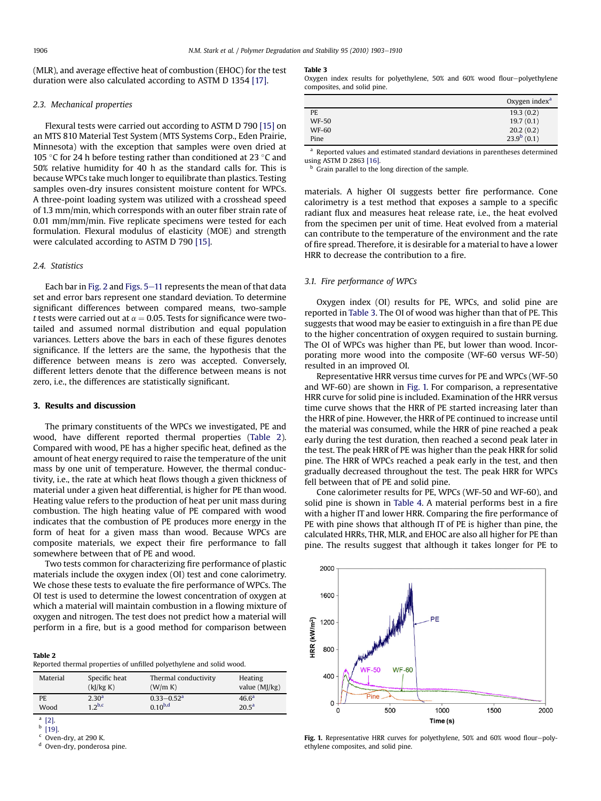<span id="page-3-0"></span>(MLR), and average effective heat of combustion (EHOC) for the test duration were also calculated according to ASTM D 1354 [\[17\]](#page-7-0).

#### 2.3. Mechanical properties

Flexural tests were carried out according to ASTM D 790 [\[15\]](#page-7-0) on an MTS 810 Material Test System (MTS Systems Corp., Eden Prairie, Minnesota) with the exception that samples were oven dried at 105 °C for 24 h before testing rather than conditioned at 23 °C and 50% relative humidity for 40 h as the standard calls for. This is because WPCs take much longer to equilibrate than plastics. Testing samples oven-dry insures consistent moisture content for WPCs. A three-point loading system was utilized with a crosshead speed of 1.3 mm/min, which corresponds with an outer fiber strain rate of 0.01 mm/mm/min. Five replicate specimens were tested for each formulation. Flexural modulus of elasticity (MOE) and strength were calculated according to ASTM D 790 [\[15\]](#page-7-0).

# 2.4. Statistics

Each bar in [Fig. 2](#page-4-0) and Figs.  $5-11$  $5-11$  represents the mean of that data set and error bars represent one standard deviation. To determine significant differences between compared means, two-sample t tests were carried out at  $\alpha = 0.05$ . Tests for significance were twotailed and assumed normal distribution and equal population variances. Letters above the bars in each of these figures denotes significance. If the letters are the same, the hypothesis that the difference between means is zero was accepted. Conversely, different letters denote that the difference between means is not zero, i.e., the differences are statistically significant.

#### 3. Results and discussion

The primary constituents of the WPCs we investigated, PE and wood, have different reported thermal properties (Table 2). Compared with wood, PE has a higher specific heat, defined as the amount of heat energy required to raise the temperature of the unit mass by one unit of temperature. However, the thermal conductivity, i.e., the rate at which heat flows though a given thickness of material under a given heat differential, is higher for PE than wood. Heating value refers to the production of heat per unit mass during combustion. The high heating value of PE compared with wood indicates that the combustion of PE produces more energy in the form of heat for a given mass than wood. Because WPCs are composite materials, we expect their fire performance to fall somewhere between that of PE and wood.

Two tests common for characterizing fire performance of plastic materials include the oxygen index (OI) test and cone calorimetry. We chose these tests to evaluate the fire performance of WPCs. The OI test is used to determine the lowest concentration of oxygen at which a material will maintain combustion in a flowing mixture of oxygen and nitrogen. The test does not predict how a material will perform in a fire, but is a good method for comparison between

#### Table 2

Reported thermal properties of unfilled polyethylene and solid wood.

| Material | Specific heat     | Thermal conductivity | Heating         |
|----------|-------------------|----------------------|-----------------|
|          | (k)/kg K          | (W/m K)              | value $(M]/kg)$ |
| PE.      | 2.30 <sup>a</sup> | $0.33 - 0.52a$       | $46.6^{\circ}$  |
| Wood     | $12^{b,c}$        | $0.10^{b,d}$         | $20.5^{\circ}$  |

 $[2]$  $<sup>b</sup>$  [\[19\]](#page-7-0).</sup>

Oven-dry, at 290 K.

<sup>d</sup> Oven-dry, ponderosa pine.

#### Table 3

Oxygen index results for polyethylene, 50% and 60% wood flour-polyethylene composites, and solid pine.

|              | Oxygen index <sup>a</sup> |
|--------------|---------------------------|
| PE           | 19.3(0.2)                 |
| <b>WF-50</b> | 19.7(0.1)                 |
| <b>WF-60</b> | 20.2(0.2)                 |
| Pine         | $23.9^{b}$ (0.1)          |

<sup>a</sup> Reported values and estimated standard deviations in parentheses determined using ASTM D 2863 [\[16\].](#page-7-0)

Grain parallel to the long direction of the sample.

materials. A higher OI suggests better fire performance. Cone calorimetry is a test method that exposes a sample to a specific radiant flux and measures heat release rate, i.e., the heat evolved from the specimen per unit of time. Heat evolved from a material can contribute to the temperature of the environment and the rate of fire spread. Therefore, it is desirable for a material to have a lower HRR to decrease the contribution to a fire.

#### 3.1. Fire performance of WPCs

Oxygen index (OI) results for PE, WPCs, and solid pine are reported in Table 3. The OI of wood was higher than that of PE. This suggests that wood may be easier to extinguish in a fire than PE due to the higher concentration of oxygen required to sustain burning. The OI of WPCs was higher than PE, but lower than wood. Incorporating more wood into the composite (WF-60 versus WF-50) resulted in an improved OI.

Representative HRR versus time curves for PE and WPCs (WF-50 and WF-60) are shown in Fig. 1. For comparison, a representative HRR curve for solid pine is included. Examination of the HRR versus time curve shows that the HRR of PE started increasing later than the HRR of pine. However, the HRR of PE continued to increase until the material was consumed, while the HRR of pine reached a peak early during the test duration, then reached a second peak later in the test. The peak HRR of PE was higher than the peak HRR for solid pine. The HRR of WPCs reached a peak early in the test, and then gradually decreased throughout the test. The peak HRR for WPCs fell between that of PE and solid pine.

Cone calorimeter results for PE, WPCs (WF-50 and WF-60), and solid pine is shown in [Table 4](#page-4-0). A material performs best in a fire with a higher IT and lower HRR. Comparing the fire performance of PE with pine shows that although IT of PE is higher than pine, the calculated HRRs, THR, MLR, and EHOC are also all higher for PE than pine. The results suggest that although it takes longer for PE to



Fig. 1. Representative HRR curves for polyethylene, 50% and 60% wood flour-polyethylene composites, and solid pine.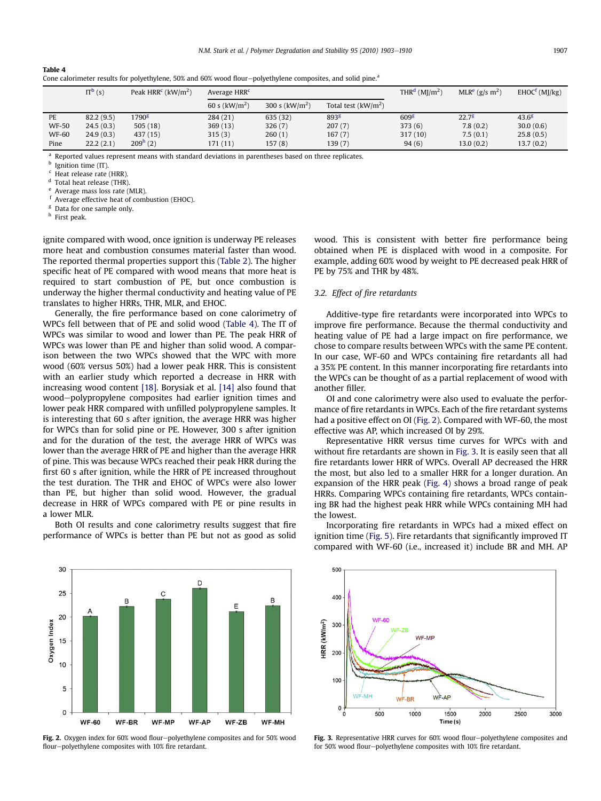# <span id="page-4-0"></span>Table 4

|              | $IT^b(s)$ | Peak $HRRc$ (kW/m <sup>2</sup> ) | Average HRR <sup>c</sup> |                 |                      | THR <sup>d</sup> ( $M$ I/m <sup>2</sup> ) | MLR <sup>e</sup> (g/s m <sup>2</sup> ) | $EHOCf$ (MJ/kg) |
|--------------|-----------|----------------------------------|--------------------------|-----------------|----------------------|-------------------------------------------|----------------------------------------|-----------------|
|              |           |                                  | 60 s ( $kW/m2$ )         | 300 s $(kW/m2)$ | Total test $(kW/m2)$ |                                           |                                        |                 |
| PE           | 82.2(9.5) | 1790 <sup>g</sup>                | 284 (21)                 | 635 (32)        | 893 <sup>g</sup>     | 609 <sup>g</sup>                          | $22.7^{8}$                             | $43.6^{8}$      |
| <b>WF-50</b> | 24.5(0.3) | 505(18)                          | 369(13)                  | 326(7)          | 207(7)               | 373(6)                                    | 7.8(0.2)                               | 30.0(0.6)       |
| <b>WF-60</b> | 24.9(0.3) | 437 (15)                         | 315(3)                   | 260(1)          | 167(7)               | 317(10)                                   | 7.5(0.1)                               | 25.8(0.5)       |
| Pine         | 22.2(2.1) | 209 <sup>h</sup> (2)             | 171 (11)                 | 157(8)          | 139 (7)              | 94(6)                                     | 13.0(0.2)                              | 13.7(0.2)       |

<sup>a</sup> Reported values represent means with standard deviations in parentheses based on three replicates.

 $\frac{b}{c}$  Ignition time (IT)

 $^{\rm c}$  Heat release rate (HRR).<br> $^{\rm d}$  Total boat release (THP)

Total heat release (THR).

<sup>e</sup> Average mass loss rate (MLR).

Average effective heat of combustion (EHOC).

Data for one sample only.

<sup>h</sup> First peak.

ignite compared with wood, once ignition is underway PE releases more heat and combustion consumes material faster than wood. The reported thermal properties support this [\(Table 2](#page-3-0)). The higher specific heat of PE compared with wood means that more heat is required to start combustion of PE, but once combustion is underway the higher thermal conductivity and heating value of PE translates to higher HRRs, THR, MLR, and EHOC.

Generally, the fire performance based on cone calorimetry of WPCs fell between that of PE and solid wood (Table 4). The IT of WPCs was similar to wood and lower than PE. The peak HRR of WPCs was lower than PE and higher than solid wood. A comparison between the two WPCs showed that the WPC with more wood (60% versus 50%) had a lower peak HRR. This is consistent with an earlier study which reported a decrease in HRR with increasing wood content [\[18\]](#page-7-0). Borysiak et al. [\[14\]](#page-7-0) also found that wood-polypropylene composites had earlier ignition times and lower peak HRR compared with unfilled polypropylene samples. It is interesting that 60 s after ignition, the average HRR was higher for WPCs than for solid pine or PE. However, 300 s after ignition and for the duration of the test, the average HRR of WPCs was lower than the average HRR of PE and higher than the average HRR of pine. This was because WPCs reached their peak HRR during the first 60 s after ignition, while the HRR of PE increased throughout the test duration. The THR and EHOC of WPCs were also lower than PE, but higher than solid wood. However, the gradual decrease in HRR of WPCs compared with PE or pine results in a lower MLR.

Both OI results and cone calorimetry results suggest that fire performance of WPCs is better than PE but not as good as solid wood. This is consistent with better fire performance being obtained when PE is displaced with wood in a composite. For example, adding 60% wood by weight to PE decreased peak HRR of PE by 75% and THR by 48%.

# 3.2. Effect of fire retardants

Additive-type fire retardants were incorporated into WPCs to improve fire performance. Because the thermal conductivity and heating value of PE had a large impact on fire performance, we chose to compare results between WPCs with the same PE content. In our case, WF-60 and WPCs containing fire retardants all had a 35% PE content. In this manner incorporating fire retardants into the WPCs can be thought of as a partial replacement of wood with another filler.

OI and cone calorimetry were also used to evaluate the performance of fire retardants in WPCs. Each of the fire retardant systems had a positive effect on OI (Fig. 2). Compared with WF-60, the most effective was AP, which increased OI by 29%.

Representative HRR versus time curves for WPCs with and without fire retardants are shown in Fig. 3. It is easily seen that all fire retardants lower HRR of WPCs. Overall AP decreased the HRR the most, but also led to a smaller HRR for a longer duration. An expansion of the HRR peak [\(Fig. 4](#page-5-0)) shows a broad range of peak HRRs. Comparing WPCs containing fire retardants, WPCs containing BR had the highest peak HRR while WPCs containing MH had the lowest.

Incorporating fire retardants in WPCs had a mixed effect on ignition time ([Fig. 5\)](#page-5-0). Fire retardants that significantly improved IT compared with WF-60 (i.e., increased it) include BR and MH. AP



**Fig. 2.** Oxygen index for  $60\%$  wood flour-polyethylene composites and for  $50\%$  wood flour-polyethylene composites with 10% fire retardant.



Fig. 3. Representative HRR curves for 60% wood flour-polyethylene composites and for 50% wood flour-polyethylene composites with 10% fire retardant.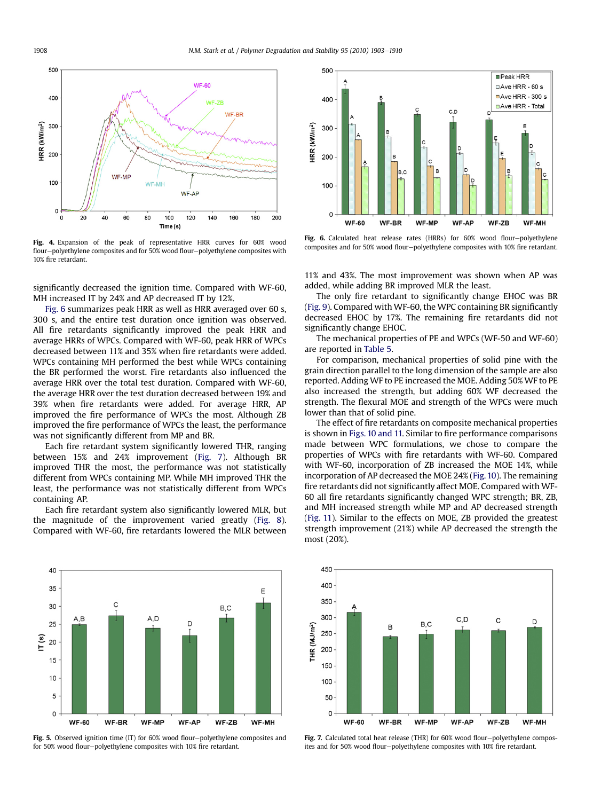<span id="page-5-0"></span>

Fig. 4. Expansion of the peak of representative HRR curves for 60% wood flour-polyethylene composites and for 50% wood flour-polyethylene composites with 10% fire retardant.

significantly decreased the ignition time. Compared with WF-60, MH increased IT by 24% and AP decreased IT by 12%.

Fig. 6 summarizes peak HRR as well as HRR averaged over 60 s, 300 s, and the entire test duration once ignition was observed. All fire retardants significantly improved the peak HRR and average HRRs of WPCs. Compared with WF-60, peak HRR of WPCs decreased between 11% and 35% when fire retardants were added. WPCs containing MH performed the best while WPCs containing the BR performed the worst. Fire retardants also influenced the average HRR over the total test duration. Compared with WF-60, the average HRR over the test duration decreased between 19% and 39% when fire retardants were added. For average HRR, AP improved the fire performance of WPCs the most. Although ZB improved the fire performance of WPCs the least, the performance was not significantly different from MP and BR.

Each fire retardant system significantly lowered THR, ranging between 15% and 24% improvement (Fig. 7). Although BR improved THR the most, the performance was not statistically different from WPCs containing MP. While MH improved THR the least, the performance was not statistically different from WPCs containing AP.

Each fire retardant system also significantly lowered MLR, but the magnitude of the improvement varied greatly ([Fig. 8](#page-6-0)). Compared with WF-60, fire retardants lowered the MLR between



Fig. 5. Observed ignition time (IT) for 60% wood flour-polyethylene composites and for 50% wood flour-polyethylene composites with 10% fire retardant.



Fig. 6. Calculated heat release rates (HRRs) for  $60\%$  wood flour-polyethylene composites and for 50% wood flour-polyethylene composites with 10% fire retardant.

11% and 43%. The most improvement was shown when AP was added, while adding BR improved MLR the least.

The only fire retardant to significantly change EHOC was BR ([Fig. 9](#page-6-0)). Compared with WF-60, the WPC containing BR significantly decreased EHOC by 17%. The remaining fire retardants did not significantly change EHOC.

The mechanical properties of PE and WPCs (WF-50 and WF-60) are reported in [Table 5](#page-6-0).

For comparison, mechanical properties of solid pine with the grain direction parallel to the long dimension of the sample are also reported. Adding WF to PE increased the MOE. Adding 50% WF to PE also increased the strength, but adding 60% WF decreased the strength. The flexural MOE and strength of the WPCs were much lower than that of solid pine.

The effect of fire retardants on composite mechanical properties is shown in [Figs. 10 and 11.](#page-6-0) Similar to fire performance comparisons made between WPC formulations, we chose to compare the properties of WPCs with fire retardants with WF-60. Compared with WF-60, incorporation of ZB increased the MOE 14%, while incorporation of AP decreased the MOE 24% ([Fig. 10\)](#page-6-0). The remaining fire retardants did not significantly affect MOE. Compared with WF-60 all fire retardants significantly changed WPC strength; BR, ZB, and MH increased strength while MP and AP decreased strength ([Fig. 11\)](#page-7-0). Similar to the effects on MOE, ZB provided the greatest strength improvement (21%) while AP decreased the strength the most (20%).



Fig. 7. Calculated total heat release (THR) for  $60\%$  wood flour-polyethylene composites and for 50% wood flour-polyethylene composites with 10% fire retardant.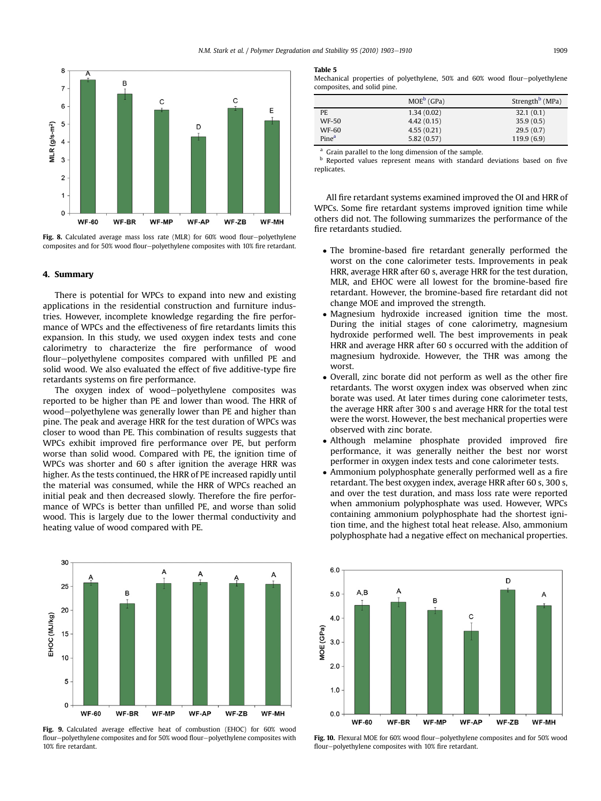<span id="page-6-0"></span>

Fig. 8. Calculated average mass loss rate (MLR) for 60% wood flour-polyethylene composites and for 50% wood flour-polyethylene composites with 10% fire retardant.

### 4. Summary

There is potential for WPCs to expand into new and existing applications in the residential construction and furniture industries. However, incomplete knowledge regarding the fire performance of WPCs and the effectiveness of fire retardants limits this expansion. In this study, we used oxygen index tests and cone calorimetry to characterize the fire performance of wood flour-polyethylene composites compared with unfilled PE and solid wood. We also evaluated the effect of five additive-type fire retardants systems on fire performance.

The oxygen index of wood-polyethylene composites was reported to be higher than PE and lower than wood. The HRR of wood-polyethylene was generally lower than PE and higher than pine. The peak and average HRR for the test duration of WPCs was closer to wood than PE. This combination of results suggests that WPCs exhibit improved fire performance over PE, but perform worse than solid wood. Compared with PE, the ignition time of WPCs was shorter and 60 s after ignition the average HRR was higher. As the tests continued, the HRR of PE increased rapidly until the material was consumed, while the HRR of WPCs reached an initial peak and then decreased slowly. Therefore the fire performance of WPCs is better than unfilled PE, and worse than solid wood. This is largely due to the lower thermal conductivity and heating value of wood compared with PE.



Fig. 9. Calculated average effective heat of combustion (EHOC) for 60% wood flour-polyethylene composites and for 50% wood flour-polyethylene composites with 10% fire retardant.

#### Table 5

Mechanical properties of polyethylene, 50% and 60% wood flour-polyethylene composites, and solid pine.

|                   | $MOE^b$ (GPa) | Strength <sup>b</sup> (MPa) |
|-------------------|---------------|-----------------------------|
| PE.               | 1.34(0.02)    | 32.1(0.1)                   |
| <b>WF-50</b>      | 4.42(0.15)    | 35.9(0.5)                   |
| <b>WF-60</b>      | 4.55(0.21)    | 29.5(0.7)                   |
| Pine <sup>a</sup> | 5.82(0.57)    | 119.9(6.9)                  |

<sup>a</sup> Grain parallel to the long dimension of the sample.

**b** Reported values represent means with standard deviations based on five replicates.

All fire retardant systems examined improved the OI and HRR of WPCs. Some fire retardant systems improved ignition time while others did not. The following summarizes the performance of the fire retardants studied.

- The bromine-based fire retardant generally performed the worst on the cone calorimeter tests. Improvements in peak HRR, average HRR after 60 s, average HRR for the test duration, MLR, and EHOC were all lowest for the bromine-based fire retardant. However, the bromine-based fire retardant did not change MOE and improved the strength.
- Magnesium hydroxide increased ignition time the most. During the initial stages of cone calorimetry, magnesium hydroxide performed well. The best improvements in peak HRR and average HRR after 60 s occurred with the addition of magnesium hydroxide. However, the THR was among the worst.
- Overall, zinc borate did not perform as well as the other fire retardants. The worst oxygen index was observed when zinc borate was used. At later times during cone calorimeter tests, the average HRR after 300 s and average HRR for the total test were the worst. However, the best mechanical properties were observed with zinc borate.
- Although melamine phosphate provided improved fire performance, it was generally neither the best nor worst performer in oxygen index tests and cone calorimeter tests.
- Ammonium polyphosphate generally performed well as a fire retardant. The best oxygen index, average HRR after 60 s, 300 s, and over the test duration, and mass loss rate were reported when ammonium polyphosphate was used. However, WPCs containing ammonium polyphosphate had the shortest ignition time, and the highest total heat release. Also, ammonium polyphosphate had a negative effect on mechanical properties.



Fig. 10. Flexural MOE for 60% wood flour-polyethylene composites and for 50% wood flour-polyethylene composites with 10% fire retardant.